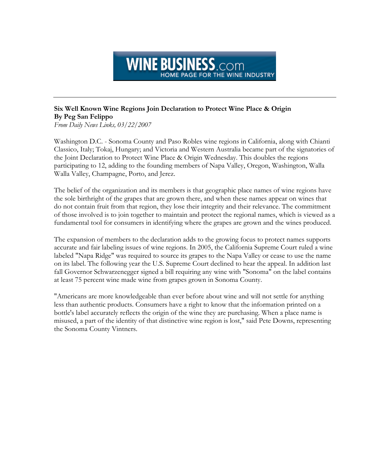## **WINE BUSINESS**.com HOME PAGE FOR THE WINE INDUSTRY

## Six Well Known Wine Regions Join Declaration to Protect Wine Place & Origin By Peg San Felippo

From Daily News Links, 03/22/2007

Washington D.C. - Sonoma County and Paso Robles wine regions in California, along with Chianti Classico, Italy; Tokaj, Hungary; and Victoria and Western Australia became part of the signatories of the Joint Declaration to Protect Wine Place & Origin Wednesday. This doubles the regions participating to 12, adding to the founding members of Napa Valley, Oregon, Washington, Walla Walla Valley, Champagne, Porto, and Jerez.

The belief of the organization and its members is that geographic place names of wine regions have the sole birthright of the grapes that are grown there, and when these names appear on wines that do not contain fruit from that region, they lose their integrity and their relevance. The commitment of those involved is to join together to maintain and protect the regional names, which is viewed as a fundamental tool for consumers in identifying where the grapes are grown and the wines produced.

The expansion of members to the declaration adds to the growing focus to protect names supports accurate and fair labeling issues of wine regions. In 2005, the California Supreme Court ruled a wine labeled "Napa Ridge" was required to source its grapes to the Napa Valley or cease to use the name on its label. The following year the U.S. Supreme Court declined to hear the appeal. In addition last fall Governor Schwarzenegger signed a bill requiring any wine with "Sonoma" on the label contains at least 75 percent wine made wine from grapes grown in Sonoma County.

"Americans are more knowledgeable than ever before about wine and will not settle for anything less than authentic products. Consumers have a right to know that the information printed on a bottle's label accurately reflects the origin of the wine they are purchasing. When a place name is misused, a part of the identity of that distinctive wine region is lost," said Pete Downs, representing the Sonoma County Vintners.